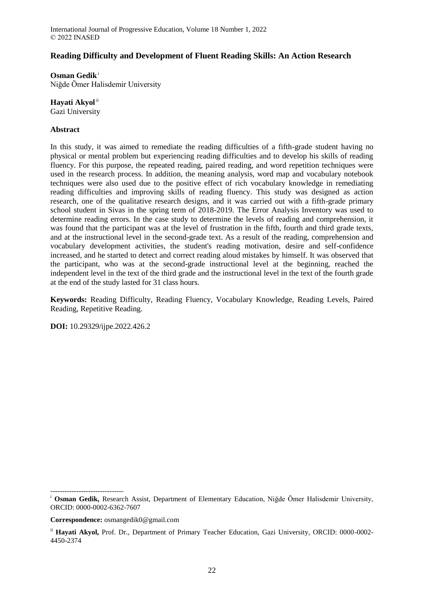## **Reading Difficulty and Development of Fluent Reading Skills: An Action Research**

**Osman Gedik**<sup>i</sup> Niğde Ömer Halisdemir University

## Hayati Akyol<sup>ii</sup>

Gazi University

## **Abstract**

In this study, it was aimed to remediate the reading difficulties of a fifth-grade student having no physical or mental problem but experiencing reading difficulties and to develop his skills of reading fluency. For this purpose, the repeated reading, paired reading, and word repetition techniques were used in the research process. In addition, the meaning analysis, word map and vocabulary notebook techniques were also used due to the positive effect of rich vocabulary knowledge in remediating reading difficulties and improving skills of reading fluency. This study was designed as action research, one of the qualitative research designs, and it was carried out with a fifth-grade primary school student in Sivas in the spring term of 2018-2019. The Error Analysis Inventory was used to determine reading errors. In the case study to determine the levels of reading and comprehension, it was found that the participant was at the level of frustration in the fifth, fourth and third grade texts, and at the instructional level in the second-grade text. As a result of the reading, comprehension and vocabulary development activities, the student's reading motivation, desire and self-confidence increased, and he started to detect and correct reading aloud mistakes by himself. It was observed that the participant, who was at the second-grade instructional level at the beginning, reached the independent level in the text of the third grade and the instructional level in the text of the fourth grade at the end of the study lasted for 31 class hours.

**Keywords:** Reading Difficulty, Reading Fluency, Vocabulary Knowledge, Reading Levels, Paired Reading, Repetitive Reading.

**DOI:** 10.29329/ijpe.2022.426.2

-------------------------------

**Correspondence:** osmangedik0@gmail.com

<sup>i</sup> **Osman Gedik,** Research Assist, Department of Elementary Education, Niğde Ömer Halisdemir University, ORCID: 0000-0002-6362-7607

ii **Hayati Akyol,** Prof. Dr., Department of Primary Teacher Education, Gazi University, ORCID: 0000-0002- 4450-2374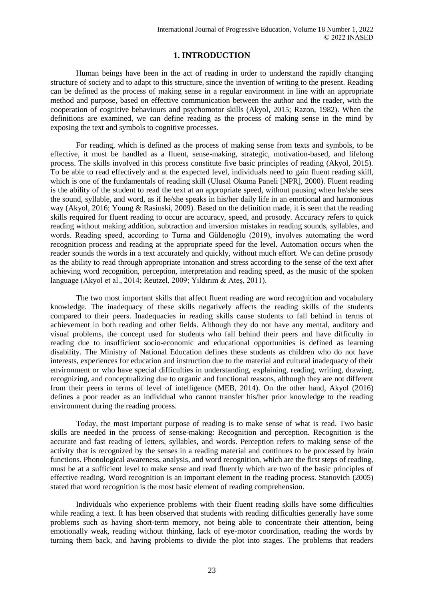# **1. INTRODUCTION**

Human beings have been in the act of reading in order to understand the rapidly changing structure of society and to adapt to this structure, since the invention of writing to the present. Reading can be defined as the process of making sense in a regular environment in line with an appropriate method and purpose, based on effective communication between the author and the reader, with the cooperation of cognitive behaviours and psychomotor skills (Akyol, 2015; Razon, 1982). When the definitions are examined, we can define reading as the process of making sense in the mind by exposing the text and symbols to cognitive processes.

For reading, which is defined as the process of making sense from texts and symbols, to be effective, it must be handled as a fluent, sense-making, strategic, motivation-based, and lifelong process. The skills involved in this process constitute five basic principles of reading (Akyol, 2015). To be able to read effectively and at the expected level, individuals need to gain fluent reading skill, which is one of the fundamentals of reading skill (Ulusal Okuma Paneli [NPR], 2000). Fluent reading is the ability of the student to read the text at an appropriate speed, without pausing when he/she sees the sound, syllable, and word, as if he/she speaks in his/her daily life in an emotional and harmonious way (Akyol, 2016; Young & Rasinski, 2009). Based on the definition made, it is seen that the reading skills required for fluent reading to occur are accuracy, speed, and prosody. Accuracy refers to quick reading without making addition, subtraction and inversion mistakes in reading sounds, syllables, and words. Reading speed, according to Turna and Güldenoğlu (2019), involves automating the word recognition process and reading at the appropriate speed for the level. Automation occurs when the reader sounds the words in a text accurately and quickly, without much effort. We can define prosody as the ability to read through appropriate intonation and stress according to the sense of the text after achieving word recognition, perception, interpretation and reading speed, as the music of the spoken language (Akyol et al., 2014; Reutzel, 2009; Yıldırım & Ateş, 2011).

The two most important skills that affect fluent reading are word recognition and vocabulary knowledge. The inadequacy of these skills negatively affects the reading skills of the students compared to their peers. Inadequacies in reading skills cause students to fall behind in terms of achievement in both reading and other fields. Although they do not have any mental, auditory and visual problems, the concept used for students who fall behind their peers and have difficulty in reading due to insufficient socio-economic and educational opportunities is defined as learning disability. The Ministry of National Education defines these students as children who do not have interests, experiences for education and instruction due to the material and cultural inadequacy of their environment or who have special difficulties in understanding, explaining, reading, writing, drawing, recognizing, and conceptualizing due to organic and functional reasons, although they are not different from their peers in terms of level of intelligence (MEB, 2014). On the other hand, Akyol (2016) defines a poor reader as an individual who cannot transfer his/her prior knowledge to the reading environment during the reading process.

Today, the most important purpose of reading is to make sense of what is read. Two basic skills are needed in the process of sense-making: Recognition and perception. Recognition is the accurate and fast reading of letters, syllables, and words. Perception refers to making sense of the activity that is recognized by the senses in a reading material and continues to be processed by brain functions. Phonological awareness, analysis, and word recognition, which are the first steps of reading, must be at a sufficient level to make sense and read fluently which are two of the basic principles of effective reading. Word recognition is an important element in the reading process. Stanovich (2005) stated that word recognition is the most basic element of reading comprehension.

Individuals who experience problems with their fluent reading skills have some difficulties while reading a text. It has been observed that students with reading difficulties generally have some problems such as having short-term memory, not being able to concentrate their attention, being emotionally weak, reading without thinking, lack of eye-motor coordination, reading the words by turning them back, and having problems to divide the plot into stages. The problems that readers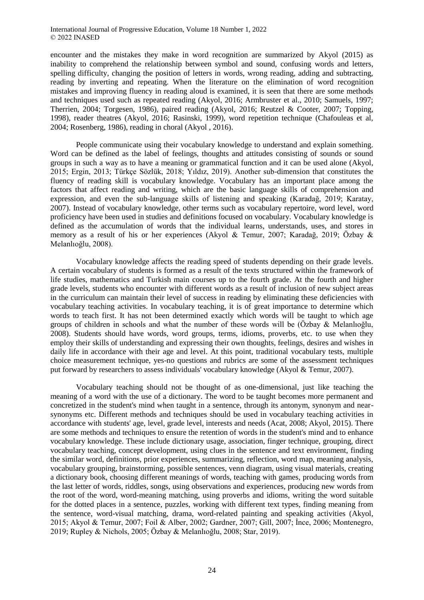encounter and the mistakes they make in word recognition are summarized by Akyol (2015) as inability to comprehend the relationship between symbol and sound, confusing words and letters, spelling difficulty, changing the position of letters in words, wrong reading, adding and subtracting, reading by inverting and repeating. When the literature on the elimination of word recognition mistakes and improving fluency in reading aloud is examined, it is seen that there are some methods and techniques used such as repeated reading (Akyol, 2016; Armbruster et al., 2010; Samuels, 1997; Therrien, 2004; Torgesen, 1986), paired reading (Akyol, 2016; Reutzel & Cooter, 2007; Topping, 1998), reader theatres (Akyol, 2016; Rasinski, 1999), word repetition technique (Chafouleas et al, 2004; Rosenberg, 1986), reading in choral (Akyol , 2016).

People communicate using their vocabulary knowledge to understand and explain something. Word can be defined as the label of feelings, thoughts and attitudes consisting of sounds or sound groups in such a way as to have a meaning or grammatical function and it can be used alone (Akyol, 2015; Ergin, 2013; Türkçe Sözlük, 2018; Yıldız, 2019). Another sub-dimension that constitutes the fluency of reading skill is vocabulary knowledge. Vocabulary has an important place among the factors that affect reading and writing, which are the basic language skills of comprehension and expression, and even the sub-language skills of listening and speaking (Karadağ, 2019; Karatay, 2007). Instead of vocabulary knowledge, other terms such as vocabulary repertoire, word level, word proficiency have been used in studies and definitions focused on vocabulary. Vocabulary knowledge is defined as the accumulation of words that the individual learns, understands, uses, and stores in memory as a result of his or her experiences (Akyol & Temur, 2007; Karadağ, 2019; Özbay & Melanlıoğlu, 2008).

Vocabulary knowledge affects the reading speed of students depending on their grade levels. A certain vocabulary of students is formed as a result of the texts structured within the framework of life studies, mathematics and Turkish main courses up to the fourth grade. At the fourth and higher grade levels, students who encounter with different words as a result of inclusion of new subject areas in the curriculum can maintain their level of success in reading by eliminating these deficiencies with vocabulary teaching activities. In vocabulary teaching, it is of great importance to determine which words to teach first. It has not been determined exactly which words will be taught to which age groups of children in schools and what the number of these words will be (Özbay & Melanlıoğlu, 2008). Students should have words, word groups, terms, idioms, proverbs, etc. to use when they employ their skills of understanding and expressing their own thoughts, feelings, desires and wishes in daily life in accordance with their age and level. At this point, traditional vocabulary tests, multiple choice measurement technique, yes-no questions and rubrics are some of the assessment techniques put forward by researchers to assess individuals' vocabulary knowledge (Akyol & Temur, 2007).

Vocabulary teaching should not be thought of as one-dimensional, just like teaching the meaning of a word with the use of a dictionary. The word to be taught becomes more permanent and concretized in the student's mind when taught in a sentence, through its antonym, synonym and nearsynonyms etc. Different methods and techniques should be used in vocabulary teaching activities in accordance with students' age, level, grade level, interests and needs (Acat, 2008; Akyol, 2015). There are some methods and techniques to ensure the retention of words in the student's mind and to enhance vocabulary knowledge. These include dictionary usage, association, finger technique, grouping, direct vocabulary teaching, concept development, using clues in the sentence and text environment, finding the similar word, definitions, prior experiences, summarizing, reflection, word map, meaning analysis, vocabulary grouping, brainstorming, possible sentences, venn diagram, using visual materials, creating a dictionary book, choosing different meanings of words, teaching with games, producing words from the last letter of words, riddles, songs, using observations and experiences, producing new words from the root of the word, word-meaning matching, using proverbs and idioms, writing the word suitable for the dotted places in a sentence, puzzles, working with different text types, finding meaning from the sentence, word-visual matching, drama, word-related painting and speaking activities (Akyol, 2015; Akyol & Temur, 2007; Foil & Alber, 2002; Gardner, 2007; Gill, 2007; İnce, 2006; Montenegro, 2019; Rupley & Nichols, 2005; Özbay & Melanlıoğlu, 2008; Star, 2019).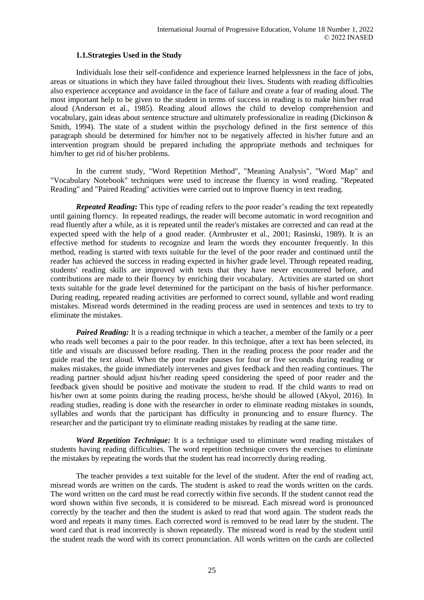## **1.1.Strategies Used in the Study**

Individuals lose their self-confidence and experience learned helplessness in the face of jobs, areas or situations in which they have failed throughout their lives. Students with reading difficulties also experience acceptance and avoidance in the face of failure and create a fear of reading aloud. The most important help to be given to the student in terms of success in reading is to make him/her read aloud (Anderson et al., 1985). Reading aloud allows the child to develop comprehension and vocabulary, gain ideas about sentence structure and ultimately professionalize in reading (Dickinson & Smith, 1994). The state of a student within the psychology defined in the first sentence of this paragraph should be determined for him/her not to be negatively affected in his/her future and an intervention program should be prepared including the appropriate methods and techniques for him/her to get rid of his/her problems.

In the current study, "Word Repetition Method", "Meaning Analysis", "Word Map" and "Vocabulary Notebook" techniques were used to increase the fluency in word reading. "Repeated Reading" and "Paired Reading" activities were carried out to improve fluency in text reading.

*Repeated Reading***:** This type of reading refers to the poor reader's reading the text repeatedly until gaining fluency. In repeated readings, the reader will become automatic in word recognition and read fluently after a while, as it is repeated until the reader's mistakes are corrected and can read at the expected speed with the help of a good reader. (Armbruster et al., 2001; Rasinski, 1989). It is an effective method for students to recognize and learn the words they encounter frequently. In this method, reading is started with texts suitable for the level of the poor reader and continued until the reader has achieved the success in reading expected in his/her grade level. Through repeated reading, students' reading skills are improved with texts that they have never encountered before, and contributions are made to their fluency by enriching their vocabulary. Activities are started on short texts suitable for the grade level determined for the participant on the basis of his/her performance. During reading, repeated reading activities are performed to correct sound, syllable and word reading mistakes. Misread words determined in the reading process are used in sentences and texts to try to eliminate the mistakes.

*Paired Reading:* It is a reading technique in which a teacher, a member of the family or a peer who reads well becomes a pair to the poor reader. In this technique, after a text has been selected, its title and visuals are discussed before reading. Then in the reading process the poor reader and the guide read the text aloud. When the poor reader pauses for four or five seconds during reading or makes mistakes, the guide immediately intervenes and gives feedback and then reading continues. The reading partner should adjust his/her reading speed considering the speed of poor reader and the feedback given should be positive and motivate the student to read. If the child wants to read on his/her own at some points during the reading process, he/she should be allowed (Akyol, 2016). In reading studies, reading is done with the researcher in order to eliminate reading mistakes in sounds, syllables and words that the participant has difficulty in pronuncing and to ensure fluency. The researcher and the participant try to eliminate reading mistakes by reading at the same time.

*Word Repetition Technique:* It is a technique used to eliminate word reading mistakes of students having reading difficulties. The word repetition technique covers the exercises to eliminate the mistakes by repeating the words that the student has read incorrectly during reading.

The teacher provides a text suitable for the level of the student. After the end of reading act, misread words are written on the cards. The student is asked to read the words written on the cards. The word written on the card must be read correctly within five seconds. If the student cannot read the word shown within five seconds, it is considered to be misread. Each misread word is pronounced correctly by the teacher and then the student is asked to read that word again. The student reads the word and repeats it many times. Each corrected word is removed to be read later by the student. The word card that is read incorrectly is shown repeatedly. The misread word is read by the student until the student reads the word with its correct pronunciation. All words written on the cards are collected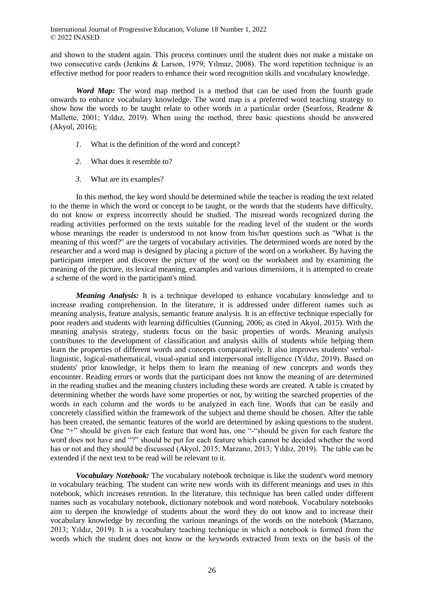and shown to the student again. This process continues until the student does not make a mistake on two consecutive cards (Jenkins & Larson, 1979; Yılmaz, 2008). The word repetition technique is an effective method for poor readers to enhance their word recognition skills and vocabulary knowledge.

*Word Map:* The word map method is a method that can be used from the fourth grade onwards to enhance vocabulary knowledge. The word map is a preferred word teaching strategy to show how the words to be taught relate to other words in a particular order (Searfoss, Readene & Mallette, 2001; Yıldız, 2019). When using the method, three basic questions should be answered (Akyol, 2016);

- *1.* What is the definition of the word and concept?
- *2.* What does it resemble to?
- *3.* What are its examples?

In this method, the key word should be determined while the teacher is reading the text related to the theme in which the word or concept to be taught, or the words that the students have difficulty, do not know or express incorrectly should be studied. The misread words recognized during the reading activities performed on the texts suitable for the reading level of the student or the words whose meanings the reader is understood to not know from his/her questions such as "What is the meaning of this word?" are the targets of vocabulary activities. The determined words are noted by the researcher and a word map is designed by placing a picture of the word on a worksheet. By having the participant interpret and discover the picture of the word on the worksheet and by examining the meaning of the picture, its lexical meaning, examples and various dimensions, it is attempted to create a scheme of the word in the participant's mind.

*Meaning Analysis:* It is a technique developed to enhance vocabulary knowledge and to increase reading comprehension. In the literature, it is addressed under different names such as meaning analysis, feature analysis, semantic feature analysis. It is an effective technique especially for poor readers and students with learning difficulties (Gunning, 2006; as cited in Akyol, 2015). With the meaning analysis strategy, students focus on the basic properties of words. Meaning analysis contributes to the development of classification and analysis skills of students while helping them learn the properties of different words and concepts comparatively. It also improves students' verballinguistic, logical-mathematical, visual-spatial and interpersonal intelligence (Yıldız, 2019). Based on students' prior knowledge, it helps them to learn the meaning of new concepts and words they encounter. Reading errors or words that the participant does not know the meaning of are determined in the reading studies and the meaning clusters including these words are created. A table is created by determining whether the words have some properties or not, by writing the searched properties of the words in each column and the words to be analyzed in each line. Words that can be easily and concretely classified within the framework of the subject and theme should be chosen. After the table has been created, the semantic features of the world are determined by asking questions to the student. One "+" should be given for each feature that word has, one "-"should be given for each feature the word does not have and "?" should be put for each feature which cannot be decided whether the word has or not and they should be discussed (Akyol, 2015; Marzano, 2013; Yıldız, 2019). The table can be extended if the next text to be read will be relevant to it.

*Vocabulary Notebook:* The vocabulary notebook technique is like the student's word memory in vocabulary teaching. The student can write new words with its different meanings and uses in this notebook, which increases retention. In the literature, this technique has been called under different names such as vocabulary notebook, dictionary notebook and word notebook. Vocabulary notebooks aim to deepen the knowledge of students about the word they do not know and to increase their vocabulary knowledge by recording the various meanings of the words on the notebook (Marzano, 2013; Yıldız, 2019). It is a vocabulary teaching technique in which a notebook is formed from the words which the student does not know or the keywords extracted from texts on the basis of the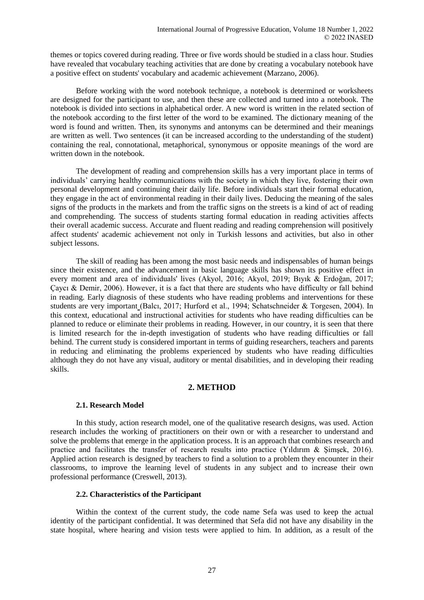themes or topics covered during reading. Three or five words should be studied in a class hour. Studies have revealed that vocabulary teaching activities that are done by creating a vocabulary notebook have a positive effect on students' vocabulary and academic achievement (Marzano, 2006).

Before working with the word notebook technique, a notebook is determined or worksheets are designed for the participant to use, and then these are collected and turned into a notebook. The notebook is divided into sections in alphabetical order. A new word is written in the related section of the notebook according to the first letter of the word to be examined. The dictionary meaning of the word is found and written. Then, its synonyms and antonyms can be determined and their meanings are written as well. Two sentences (it can be increased according to the understanding of the student) containing the real, connotational, metaphorical, synonymous or opposite meanings of the word are written down in the notebook.

The development of reading and comprehension skills has a very important place in terms of individuals' carrying healthy communications with the society in which they live, fostering their own personal development and continuing their daily life. Before individuals start their formal education, they engage in the act of environmental reading in their daily lives. Deducing the meaning of the sales signs of the products in the markets and from the traffic signs on the streets is a kind of act of reading and comprehending. The success of students starting formal education in reading activities affects their overall academic success. Accurate and fluent reading and reading comprehension will positively affect students' academic achievement not only in Turkish lessons and activities, but also in other subject lessons.

The skill of reading has been among the most basic needs and indispensables of human beings since their existence, and the advancement in basic language skills has shown its positive effect in every moment and area of individuals' lives (Akyol, 2016; Akyol, 2019; Bıyık & Erdoğan, 2017; Çaycı & Demir, 2006). However, it is a fact that there are students who have difficulty or fall behind in reading. Early diagnosis of these students who have reading problems and interventions for these students are very important (Balcı, 2017; Hurford et al., 1994; Schatschneider & Torgesen, 2004). In this context, educational and instructional activities for students who have reading difficulties can be planned to reduce or eliminate their problems in reading. However, in our country, it is seen that there is limited research for the in-depth investigation of students who have reading difficulties or fall behind. The current study is considered important in terms of guiding researchers, teachers and parents in reducing and eliminating the problems experienced by students who have reading difficulties although they do not have any visual, auditory or mental disabilities, and in developing their reading skills.

# **2. METHOD**

# **2.1. Research Model**

In this study, action research model, one of the qualitative research designs, was used. Action research includes the working of practitioners on their own or with a researcher to understand and solve the problems that emerge in the application process. It is an approach that combines research and practice and facilitates the transfer of research results into practice (Yıldırım & Şimşek, 2016). Applied action research is designed by teachers to find a solution to a problem they encounter in their classrooms, to improve the learning level of students in any subject and to increase their own professional performance (Creswell, 2013).

# **2.2. Characteristics of the Participant**

Within the context of the current study, the code name Sefa was used to keep the actual identity of the participant confidential. It was determined that Sefa did not have any disability in the state hospital, where hearing and vision tests were applied to him. In addition, as a result of the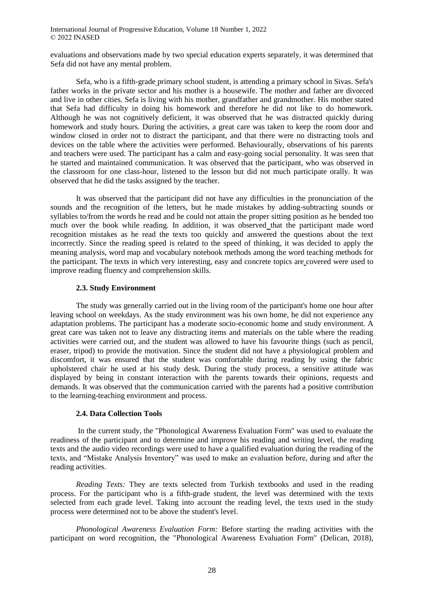evaluations and observations made by two special education experts separately, it was determined that Sefa did not have any mental problem.

Sefa, who is a fifth-grade primary school student, is attending a primary school in Sivas. Sefa's father works in the private sector and his mother is a housewife. The mother and father are divorced and live in other cities. Sefa is living with his mother, grandfather and grandmother. His mother stated that Sefa had difficulty in doing his homework and therefore he did not like to do homework. Although he was not cognitively deficient, it was observed that he was distracted quickly during homework and study hours. During the activities, a great care was taken to keep the room door and window closed in order not to distract the participant, and that there were no distracting tools and devices on the table where the activities were performed. Behaviourally, observations of his parents and teachers were used. The participant has a calm and easy-going social personality. It was seen that he started and maintained communication. It was observed that the participant, who was observed in the classroom for one class-hour, listened to the lesson but did not much participate orally. It was observed that he did the tasks assigned by the teacher.

It was observed that the participant did not have any difficulties in the pronunciation of the sounds and the recognition of the letters, but he made mistakes by adding-subtracting sounds or syllables to/from the words he read and he could not attain the proper sitting position as he bended too much over the book while reading. In addition, it was observed that the participant made word recognition mistakes as he read the texts too quickly and answered the questions about the text incorrectly. Since the reading speed is related to the speed of thinking, it was decided to apply the meaning analysis, word map and vocabulary notebook methods among the word teaching methods for the participant. The texts in which very interesting, easy and concrete topics are covered were used to improve reading fluency and comprehension skills.

## **2.3. Study Environment**

The study was generally carried out in the living room of the participant's home one hour after leaving school on weekdays. As the study environment was his own home, he did not experience any adaptation problems. The participant has a moderate socio-economic home and study environment. A great care was taken not to leave any distracting items and materials on the table where the reading activities were carried out, and the student was allowed to have his favourite things (such as pencil, eraser, tripod) to provide the motivation. Since the student did not have a physiological problem and discomfort, it was ensured that the student was comfortable during reading by using the fabric upholstered chair he used at his study desk. During the study process, a sensitive attitude was displayed by being in constant interaction with the parents towards their opinions, requests and demands. It was observed that the communication carried with the parents had a positive contribution to the learning-teaching environment and process.

## **2.4. Data Collection Tools**

In the current study, the "Phonological Awareness Evaluation Form" was used to evaluate the readiness of the participant and to determine and improve his reading and writing level, the reading texts and the audio video recordings were used to have a qualified evaluation during the reading of the texts, and "Mistake Analysis Inventory" was used to make an evaluation before, during and after the reading activities.

*Reading Texts:* They are texts selected from Turkish textbooks and used in the reading process. For the participant who is a fifth-grade student, the level was determined with the texts selected from each grade level. Taking into account the reading level, the texts used in the study process were determined not to be above the student's level.

*Phonological Awareness Evaluation Form:* Before starting the reading activities with the participant on word recognition, the "Phonological Awareness Evaluation Form" (Delican, 2018),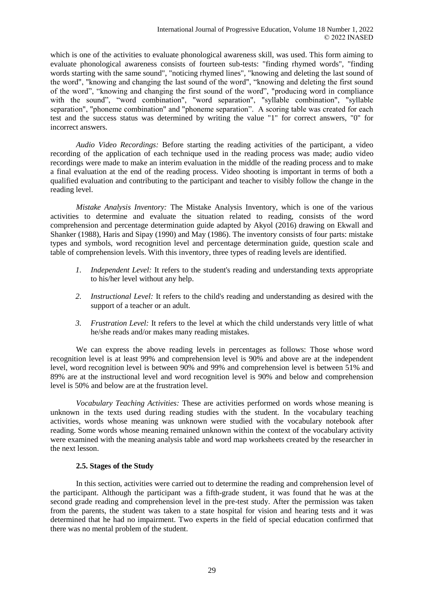which is one of the activities to evaluate phonological awareness skill, was used. This form aiming to evaluate phonological awareness consists of fourteen sub-tests: "finding rhymed words", "finding words starting with the same sound", "noticing rhymed lines", "knowing and deleting the last sound of the word", "knowing and changing the last sound of the word", "knowing and deleting the first sound of the word", "knowing and changing the first sound of the word", "producing word in compliance with the sound", "word combination", "word separation", "syllable combination", "syllable separation", "phoneme combination" and "phoneme separation". A scoring table was created for each test and the success status was determined by writing the value "1" for correct answers, "0" for incorrect answers.

*Audio Video Recordings:* Before starting the reading activities of the participant, a video recording of the application of each technique used in the reading process was made; audio video recordings were made to make an interim evaluation in the middle of the reading process and to make a final evaluation at the end of the reading process. Video shooting is important in terms of both a qualified evaluation and contributing to the participant and teacher to visibly follow the change in the reading level.

*Mistake Analysis Inventory:* The Mistake Analysis Inventory, which is one of the various activities to determine and evaluate the situation related to reading, consists of the word comprehension and percentage determination guide adapted by Akyol (2016) drawing on Ekwall and Shanker (1988), Haris and Sipay (1990) and May (1986). The inventory consists of four parts: mistake types and symbols, word recognition level and percentage determination guide, question scale and table of comprehension levels. With this inventory, three types of reading levels are identified.

- *1. Independent Level:* It refers to the student's reading and understanding texts appropriate to his/her level without any help.
- *2. Instructional Level:* It refers to the child's reading and understanding as desired with the support of a teacher or an adult.
- *3. Frustration Level:* It refers to the level at which the child understands very little of what he/she reads and/or makes many reading mistakes.

We can express the above reading levels in percentages as follows: Those whose word recognition level is at least 99% and comprehension level is 90% and above are at the independent level, word recognition level is between 90% and 99% and comprehension level is between 51% and 89% are at the instructional level and word recognition level is 90% and below and comprehension level is 50% and below are at the frustration level.

*Vocabulary Teaching Activities:* These are activities performed on words whose meaning is unknown in the texts used during reading studies with the student. In the vocabulary teaching activities, words whose meaning was unknown were studied with the vocabulary notebook after reading. Some words whose meaning remained unknown within the context of the vocabulary activity were examined with the meaning analysis table and word map worksheets created by the researcher in the next lesson.

## **2.5. Stages of the Study**

In this section, activities were carried out to determine the reading and comprehension level of the participant. Although the participant was a fifth-grade student, it was found that he was at the second grade reading and comprehension level in the pre-test study. After the permission was taken from the parents, the student was taken to a state hospital for vision and hearing tests and it was determined that he had no impairment. Two experts in the field of special education confirmed that there was no mental problem of the student.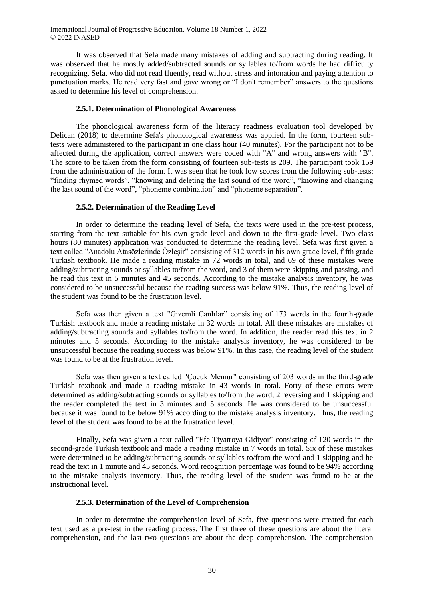It was observed that Sefa made many mistakes of adding and subtracting during reading. It was observed that he mostly added/subtracted sounds or syllables to/from words he had difficulty recognizing. Sefa, who did not read fluently, read without stress and intonation and paying attention to punctuation marks. He read very fast and gave wrong or "I don't remember" answers to the questions asked to determine his level of comprehension.

### **2.5.1. Determination of Phonological Awareness**

The phonological awareness form of the literacy readiness evaluation tool developed by Delican (2018) to determine Sefa's phonological awareness was applied. In the form, fourteen subtests were administered to the participant in one class hour (40 minutes). For the participant not to be affected during the application, correct answers were coded with "A" and wrong answers with "B". The score to be taken from the form consisting of fourteen sub-tests is 209. The participant took 159 from the administration of the form. It was seen that he took low scores from the following sub-tests: "finding rhymed words", "knowing and deleting the last sound of the word", "knowing and changing the last sound of the word", "phoneme combination" and "phoneme separation".

#### **2.5.2. Determination of the Reading Level**

In order to determine the reading level of Sefa, the texts were used in the pre-test process, starting from the text suitable for his own grade level and down to the first-grade level. Two class hours (80 minutes) application was conducted to determine the reading level. Sefa was first given a text called "Anadolu Atasözlerinde Özleşir" consisting of 312 words in his own grade level, fifth grade Turkish textbook. He made a reading mistake in 72 words in total, and 69 of these mistakes were adding/subtracting sounds or syllables to/from the word, and 3 of them were skipping and passing, and he read this text in 5 minutes and 45 seconds. According to the mistake analysis inventory, he was considered to be unsuccessful because the reading success was below 91%. Thus, the reading level of the student was found to be the frustration level.

Sefa was then given a text "Gizemli Canlılar" consisting of 173 words in the fourth-grade Turkish textbook and made a reading mistake in 32 words in total. All these mistakes are mistakes of adding/subtracting sounds and syllables to/from the word. In addition, the reader read this text in 2 minutes and 5 seconds. According to the mistake analysis inventory, he was considered to be unsuccessful because the reading success was below 91%. In this case, the reading level of the student was found to be at the frustration level.

Sefa was then given a text called "Çocuk Memur" consisting of 203 words in the third-grade Turkish textbook and made a reading mistake in 43 words in total. Forty of these errors were determined as adding/subtracting sounds or syllables to/from the word, 2 reversing and 1 skipping and the reader completed the text in 3 minutes and 5 seconds. He was considered to be unsuccessful because it was found to be below 91% according to the mistake analysis inventory. Thus, the reading level of the student was found to be at the frustration level.

Finally, Sefa was given a text called "Efe Tiyatroya Gidiyor" consisting of 120 words in the second-grade Turkish textbook and made a reading mistake in 7 words in total. Six of these mistakes were determined to be adding/subtracting sounds or syllables to/from the word and 1 skipping and he read the text in 1 minute and 45 seconds. Word recognition percentage was found to be 94% according to the mistake analysis inventory. Thus, the reading level of the student was found to be at the instructional level.

### **2.5.3. Determination of the Level of Comprehension**

In order to determine the comprehension level of Sefa, five questions were created for each text used as a pre-test in the reading process. The first three of these questions are about the literal comprehension, and the last two questions are about the deep comprehension. The comprehension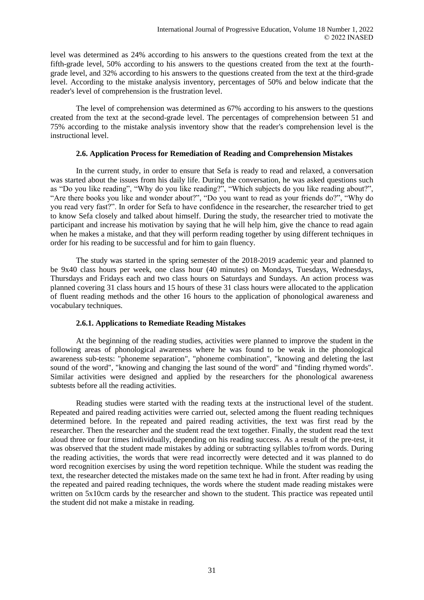level was determined as 24% according to his answers to the questions created from the text at the fifth-grade level, 50% according to his answers to the questions created from the text at the fourthgrade level, and 32% according to his answers to the questions created from the text at the third-grade level. According to the mistake analysis inventory, percentages of 50% and below indicate that the reader's level of comprehension is the frustration level.

The level of comprehension was determined as 67% according to his answers to the questions created from the text at the second-grade level. The percentages of comprehension between 51 and 75% according to the mistake analysis inventory show that the reader's comprehension level is the instructional level.

## **2.6. Application Process for Remediation of Reading and Comprehension Mistakes**

In the current study, in order to ensure that Sefa is ready to read and relaxed, a conversation was started about the issues from his daily life. During the conversation, he was asked questions such as "Do you like reading", "Why do you like reading?", "Which subjects do you like reading about?", "Are there books you like and wonder about?", "Do you want to read as your friends do?", "Why do you read very fast?". In order for Sefa to have confidence in the researcher, the researcher tried to get to know Sefa closely and talked about himself. During the study, the researcher tried to motivate the participant and increase his motivation by saying that he will help him, give the chance to read again when he makes a mistake, and that they will perform reading together by using different techniques in order for his reading to be successful and for him to gain fluency.

The study was started in the spring semester of the 2018-2019 academic year and planned to be 9x40 class hours per week, one class hour (40 minutes) on Mondays, Tuesdays, Wednesdays, Thursdays and Fridays each and two class hours on Saturdays and Sundays. An action process was planned covering 31 class hours and 15 hours of these 31 class hours were allocated to the application of fluent reading methods and the other 16 hours to the application of phonological awareness and vocabulary techniques.

# **2.6.1. Applications to Remediate Reading Mistakes**

At the beginning of the reading studies, activities were planned to improve the student in the following areas of phonological awareness where he was found to be weak in the phonological awareness sub-tests: "phoneme separation", "phoneme combination", "knowing and deleting the last sound of the word", "knowing and changing the last sound of the word" and "finding rhymed words". Similar activities were designed and applied by the researchers for the phonological awareness subtests before all the reading activities.

Reading studies were started with the reading texts at the instructional level of the student. Repeated and paired reading activities were carried out, selected among the fluent reading techniques determined before. In the repeated and paired reading activities, the text was first read by the researcher. Then the researcher and the student read the text together. Finally, the student read the text aloud three or four times individually, depending on his reading success. As a result of the pre-test, it was observed that the student made mistakes by adding or subtracting syllables to/from words. During the reading activities, the words that were read incorrectly were detected and it was planned to do word recognition exercises by using the word repetition technique. While the student was reading the text, the researcher detected the mistakes made on the same text he had in front. After reading by using the repeated and paired reading techniques, the words where the student made reading mistakes were written on 5x10cm cards by the researcher and shown to the student. This practice was repeated until the student did not make a mistake in reading.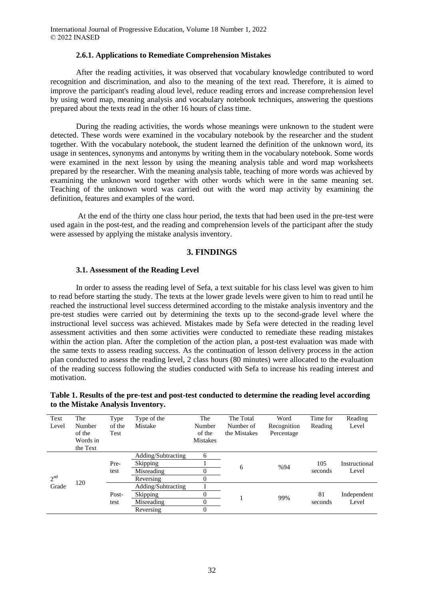### **2.6.1. Applications to Remediate Comprehension Mistakes**

After the reading activities, it was observed that vocabulary knowledge contributed to word recognition and discrimination, and also to the meaning of the text read. Therefore, it is aimed to improve the participant's reading aloud level, reduce reading errors and increase comprehension level by using word map, meaning analysis and vocabulary notebook techniques, answering the questions prepared about the texts read in the other 16 hours of class time.

During the reading activities, the words whose meanings were unknown to the student were detected. These words were examined in the vocabulary notebook by the researcher and the student together. With the vocabulary notebook, the student learned the definition of the unknown word, its usage in sentences, synonyms and antonyms by writing them in the vocabulary notebook. Some words were examined in the next lesson by using the meaning analysis table and word map worksheets prepared by the researcher. With the meaning analysis table, teaching of more words was achieved by examining the unknown word together with other words which were in the same meaning set. Teaching of the unknown word was carried out with the word map activity by examining the definition, features and examples of the word.

At the end of the thirty one class hour period, the texts that had been used in the pre-test were used again in the post-test, and the reading and comprehension levels of the participant after the study were assessed by applying the mistake analysis inventory.

## **3. FINDINGS**

### **3.1. Assessment of the Reading Level**

In order to assess the reading level of Sefa, a text suitable for his class level was given to him to read before starting the study. The texts at the lower grade levels were given to him to read until he reached the instructional level success determined according to the mistake analysis inventory and the pre-test studies were carried out by determining the texts up to the second-grade level where the instructional level success was achieved. Mistakes made by Sefa were detected in the reading level assessment activities and then some activities were conducted to remediate these reading mistakes within the action plan. After the completion of the action plan, a post-test evaluation was made with the same texts to assess reading success. As the continuation of lesson delivery process in the action plan conducted to assess the reading level, 2 class hours (80 minutes) were allocated to the evaluation of the reading success following the studies conducted with Sefa to increase his reading interest and motivation.

## **Table 1. Results of the pre-test and post-test conducted to determine the reading level according to the Mistake Analysis Inventory.**

| Text                     | The      | Type   | Type of the        | The             | The Total    | Word        | Time for | Reading       |
|--------------------------|----------|--------|--------------------|-----------------|--------------|-------------|----------|---------------|
| Level                    | Number   | of the | Mistake            | Number          | Number of    | Recognition | Reading  | Level         |
|                          | of the   | Test   |                    | of the          | the Mistakes | Percentage  |          |               |
|                          | Words in |        |                    | <b>Mistakes</b> |              |             |          |               |
|                          | the Text |        |                    |                 |              |             |          |               |
| 2 <sup>nd</sup><br>Grade | 120      |        | Adding/Subtracting | 6               |              | %94         |          |               |
|                          |          | Pre-   | Skipping           |                 | 6            |             | 105      | Instructional |
|                          |          | test   | Misreading         | $\mathbf{0}$    |              |             | seconds  | Level         |
|                          |          |        | Reversing          | $\theta$        |              |             |          |               |
|                          |          |        | Adding/Subtracting |                 |              |             |          |               |
|                          |          | Post-  | Skipping           | $\theta$        |              | 99%         | 81       | Independent   |
|                          |          | test   | Misreading         | $\theta$        |              |             | seconds  | Level         |
|                          |          |        | Reversing          | $\theta$        |              |             |          |               |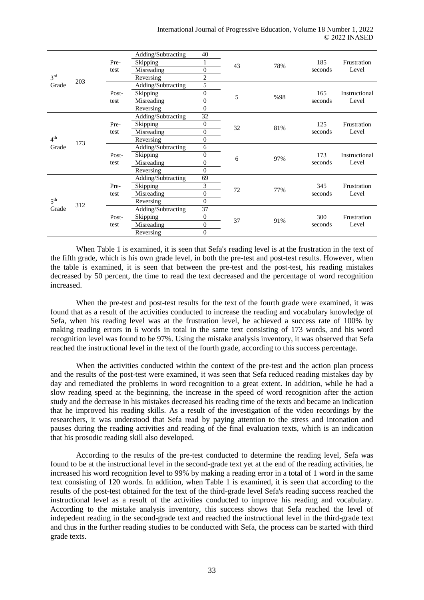| 3 <sup>rd</sup><br>Grade | 203 |               | Adding/Subtracting | 40               |    |     |         | Frustration<br>Level   |
|--------------------------|-----|---------------|--------------------|------------------|----|-----|---------|------------------------|
|                          |     | Pre-          | Skipping           |                  | 43 | 78% | 185     |                        |
|                          |     | test          | Misreading         | $\theta$         |    |     | seconds |                        |
|                          |     |               | Reversing          | $\overline{2}$   |    |     |         |                        |
|                          |     | Post-<br>test | Adding/Subtracting | 5                |    | %98 | 165     | Instructional<br>Level |
|                          |     |               | Skipping           | $\overline{0}$   | 5  |     |         |                        |
|                          |     |               | Misreading         | $\overline{0}$   |    |     | seconds |                        |
|                          |     |               | Reversing          | $\mathbf{0}$     |    |     |         |                        |
| 4 <sup>th</sup><br>Grade |     |               | Adding/Subtracting | 32               | 32 | 81% | 125     | Frustration<br>Level   |
|                          |     | Pre-          | Skipping           | $\overline{0}$   |    |     |         |                        |
|                          | 173 | test          | Misreading         | $\overline{0}$   |    |     | seconds |                        |
|                          |     |               | Reversing          | $\boldsymbol{0}$ |    |     |         |                        |
|                          |     |               | Adding/Subtracting | 6                |    |     |         | Instructional<br>Level |
|                          |     | Post-         | Skipping           | $\mathbf{0}$     | 6  | 97% | 173     |                        |
|                          |     | test          | Misreading         | $\mathbf{0}$     |    |     | seconds |                        |
|                          |     |               | Reversing          | $\theta$         |    |     |         |                        |
| $5^{\text{th}}$<br>Grade | 312 |               | Adding/Subtracting | 69               | 72 | 77% |         | Frustration<br>Level   |
|                          |     | Pre-          | Skipping           | 3                |    |     | 345     |                        |
|                          |     | test          | Misreading         | $\boldsymbol{0}$ |    |     | seconds |                        |
|                          |     |               | Reversing          | $\theta$         |    |     |         |                        |
|                          |     | Post-         | Adding/Subtracting | 37               |    | 91% | 300     | Frustration<br>Level   |
|                          |     |               | Skipping           | $\boldsymbol{0}$ | 37 |     |         |                        |
|                          |     | test          | Misreading         | $\overline{0}$   |    |     | seconds |                        |
|                          |     |               | Reversing          | $\overline{0}$   |    |     |         |                        |

When Table 1 is examined, it is seen that Sefa's reading level is at the frustration in the text of the fifth grade, which is his own grade level, in both the pre-test and post-test results. However, when the table is examined, it is seen that between the pre-test and the post-test, his reading mistakes decreased by 50 percent, the time to read the text decreased and the percentage of word recognition increased.

When the pre-test and post-test results for the text of the fourth grade were examined, it was found that as a result of the activities conducted to increase the reading and vocabulary knowledge of Sefa, when his reading level was at the frustration level, he achieved a success rate of 100% by making reading errors in 6 words in total in the same text consisting of 173 words, and his word recognition level was found to be 97%. Using the mistake analysis inventory, it was observed that Sefa reached the instructional level in the text of the fourth grade, according to this success percentage.

When the activities conducted within the context of the pre-test and the action plan process and the results of the post-test were examined, it was seen that Sefa reduced reading mistakes day by day and remediated the problems in word recognition to a great extent. In addition, while he had a slow reading speed at the beginning, the increase in the speed of word recognition after the action study and the decrease in his mistakes decreased his reading time of the texts and became an indication that he improved his reading skills. As a result of the investigation of the video recordings by the researchers, it was understood that Sefa read by paying attention to the stress and intonation and pauses during the reading activities and reading of the final evaluation texts, which is an indication that his prosodic reading skill also developed.

According to the results of the pre-test conducted to determine the reading level, Sefa was found to be at the instructional level in the second-grade text yet at the end of the reading activities, he increased his word recognition level to 99% by making a reading error in a total of 1 word in the same text consisting of 120 words. In addition, when Table 1 is examined, it is seen that according to the results of the post-test obtained for the text of the third-grade level Sefa's reading success reached the instructional level as a result of the activities conducted to improve his reading and vocabulary. According to the mistake analysis inventory, this success shows that Sefa reached the level of indepedent reading in the second-grade text and reached the instructional level in the third-grade text and thus in the further reading studies to be conducted with Sefa, the process can be started with third grade texts.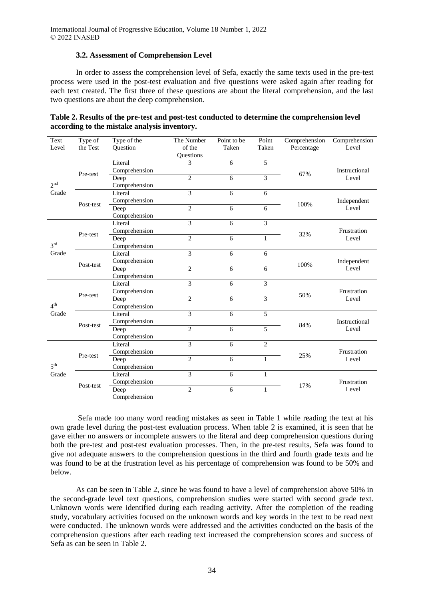## **3.2. Assessment of Comprehension Level**

In order to assess the comprehension level of Sefa, exactly the same texts used in the pre-test process were used in the post-test evaluation and five questions were asked again after reading for each text created. The first three of these questions are about the literal comprehension, and the last two questions are about the deep comprehension.

| Text<br>Level            | Type of<br>the Test | Type of the<br>Question                | The Number<br>of the<br>Questions | Point to be<br>Taken | Point<br>Taken | Comprehension<br>Percentage | Comprehension<br>Level                       |
|--------------------------|---------------------|----------------------------------------|-----------------------------------|----------------------|----------------|-----------------------------|----------------------------------------------|
| 2 <sup>nd</sup><br>Grade | Pre-test            | Literal<br>Comprehension               | 3                                 | 6                    | 5              | 67%                         | Instructional<br>Level                       |
|                          |                     | Deep<br>Comprehension                  | $\overline{2}$                    | 6                    | 3              |                             |                                              |
|                          | Post-test           | Literal                                | 3                                 | 6                    | 6              |                             | Independent<br>Level                         |
|                          |                     | Comprehension<br>Deep<br>Comprehension | $\overline{2}$                    | 6                    | 6              | 100%                        |                                              |
| 3 <sup>rd</sup><br>Grade | Pre-test            | Literal<br>Comprehension               | 3                                 | 6                    | 3              |                             | Frustration<br>Level<br>Independent<br>Level |
|                          |                     | Deep<br>Comprehension                  | $\overline{2}$                    | 6                    | 1              | 32%                         |                                              |
|                          | Post-test           | Literal<br>Comprehension               | 3                                 | 6                    | 6              | 100%                        |                                              |
|                          |                     | Deep<br>Comprehension                  | $\overline{2}$                    | 6                    | 6              |                             |                                              |
| 4 <sup>th</sup><br>Grade | Pre-test            | Literal<br>Comprehension               | 3                                 | 6                    | 3              |                             | Frustration<br>Level                         |
|                          |                     | Deep<br>Comprehension                  | $\overline{c}$                    | 6                    | 3              | 50%                         |                                              |
|                          | Post-test           | Literal<br>Comprehension               | 3                                 | 6                    | 5              |                             | Instructional<br>Level                       |
|                          |                     | Deep<br>Comprehension                  | $\overline{2}$                    | 6                    | 5              | 84%                         |                                              |
| $5^{\text{th}}$<br>Grade | Pre-test            | Literal<br>Comprehension               | 3                                 | 6                    | $\overline{c}$ |                             | Frustration<br>Level                         |
|                          |                     | Deep<br>Comprehension                  | $\overline{c}$                    | 6                    | 1              | 25%                         |                                              |
|                          |                     | Literal<br>Comprehension               | 3                                 | 6                    | $\mathbf{1}$   |                             | Frustration<br>Level                         |
|                          | Post-test           | Deep<br>Comprehension                  | $\overline{c}$                    | 6                    | $\mathbf{1}$   | 17%                         |                                              |

**Table 2. Results of the pre-test and post-test conducted to determine the comprehension level according to the mistake analysis inventory.**

Sefa made too many word reading mistakes as seen in Table 1 while reading the text at his own grade level during the post-test evaluation process. When table 2 is examined, it is seen that he gave either no answers or incomplete answers to the literal and deep comprehension questions during both the pre-test and post-test evaluation processes. Then, in the pre-test results, Sefa was found to give not adequate answers to the comprehension questions in the third and fourth grade texts and he was found to be at the frustration level as his percentage of comprehension was found to be 50% and below.

As can be seen in Table 2, since he was found to have a level of comprehension above 50% in the second-grade level text questions, comprehension studies were started with second grade text. Unknown words were identified during each reading activity. After the completion of the reading study, vocabulary activities focused on the unknown words and key words in the text to be read next were conducted. The unknown words were addressed and the activities conducted on the basis of the comprehension questions after each reading text increased the comprehension scores and success of Sefa as can be seen in Table 2.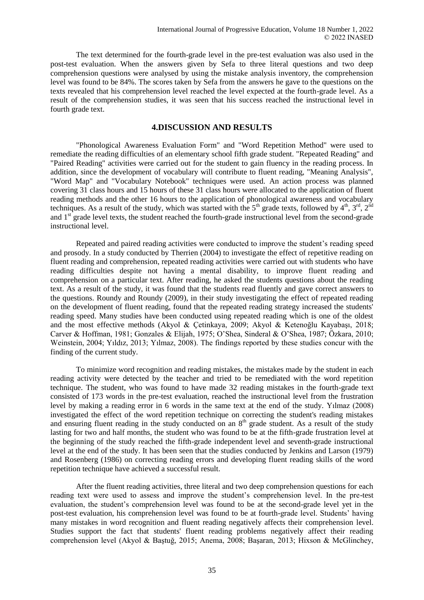The text determined for the fourth-grade level in the pre-test evaluation was also used in the post-test evaluation. When the answers given by Sefa to three literal questions and two deep comprehension questions were analysed by using the mistake analysis inventory, the comprehension level was found to be 84%. The scores taken by Sefa from the answers he gave to the questions on the texts revealed that his comprehension level reached the level expected at the fourth-grade level. As a result of the comprehension studies, it was seen that his success reached the instructional level in fourth grade text.

### **4.DISCUSSION AND RESULTS**

"Phonological Awareness Evaluation Form" and "Word Repetition Method" were used to remediate the reading difficulties of an elementary school fifth grade student. "Repeated Reading" and "Paired Reading" activities were carried out for the student to gain fluency in the reading process. In addition, since the development of vocabulary will contribute to fluent reading, "Meaning Analysis", "Word Map" and "Vocabulary Notebook" techniques were used. An action process was planned covering 31 class hours and 15 hours of these 31 class hours were allocated to the application of fluent reading methods and the other 16 hours to the application of phonological awareness and vocabulary techniques. As a result of the study, which was started with the  $5<sup>th</sup>$  grade texts, followed by  $4<sup>th</sup>$ ,  $3<sup>rd</sup>$ ,  $2<sup>nd</sup>$ and 1<sup>st</sup> grade level texts, the student reached the fourth-grade instructional level from the second-grade instructional level.

Repeated and paired reading activities were conducted to improve the student's reading speed and prosody. In a study conducted by Therrien (2004) to investigate the effect of repetitive reading on fluent reading and comprehension, repeated reading activities were carried out with students who have reading difficulties despite not having a mental disability, to improve fluent reading and comprehension on a particular text. After reading, he asked the students questions about the reading text. As a result of the study, it was found that the students read fluently and gave correct answers to the questions. Roundy and Roundy (2009), in their study investigating the effect of repeated reading on the development of fluent reading, found that the repeated reading strategy increased the students' reading speed. Many studies have been conducted using repeated reading which is one of the oldest and the most effective methods (Akyol & Çetinkaya, 2009; Akyol & Ketenoğlu Kayabaşı, 2018; Carver & Hoffman, 1981; Gonzales & Elijah, 1975; O'Shea, Sinderal & O'Shea, 1987; Özkara, 2010; Weinstein, 2004; Yıldız, 2013; Yılmaz, 2008). The findings reported by these studies concur with the finding of the current study.

To minimize word recognition and reading mistakes, the mistakes made by the student in each reading activity were detected by the teacher and tried to be remediated with the word repetition technique. The student, who was found to have made 32 reading mistakes in the fourth-grade text consisted of 173 words in the pre-test evaluation, reached the instructional level from the frustration level by making a reading error in 6 words in the same text at the end of the study. Yılmaz (2008) investigated the effect of the word repetition technique on correcting the student's reading mistakes and ensuring fluent reading in the study conducted on an  $8<sup>th</sup>$  grade student. As a result of the study lasting for two and half months, the student who was found to be at the fifth-grade frustration level at the beginning of the study reached the fifth-grade independent level and seventh-grade instructional level at the end of the study. It has been seen that the studies conducted by Jenkins and Larson (1979) and Rosenberg (1986) on correcting reading errors and developing fluent reading skills of the word repetition technique have achieved a successful result.

After the fluent reading activities, three literal and two deep comprehension questions for each reading text were used to assess and improve the student's comprehension level. In the pre-test evaluation, the student's comprehension level was found to be at the second-grade level yet in the post-test evaluation, his comprehension level was found to be at fourth-grade level. Students' having many mistakes in word recognition and fluent reading negatively affects their comprehension level. Studies support the fact that students' fluent reading problems negatively affect their reading comprehension level (Akyol & Baştuğ, 2015; Anema, 2008; Başaran, 2013; Hixson & McGlinchey,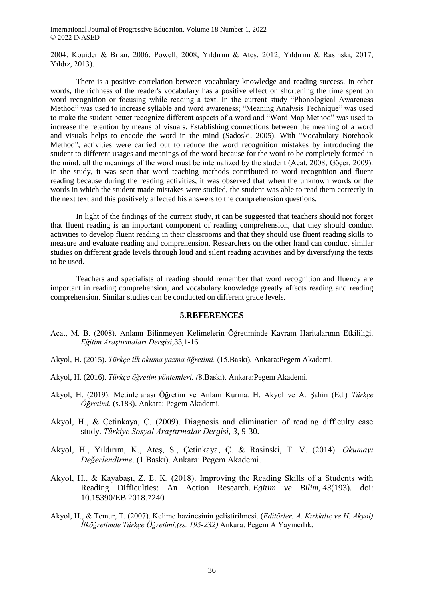2004; Kouider & Brian, 2006; Powell, 2008; Yıldırım & Ateş, 2012; Yıldırım & Rasinski, 2017; Yıldız, 2013).

There is a positive correlation between vocabulary knowledge and reading success. In other words, the richness of the reader's vocabulary has a positive effect on shortening the time spent on word recognition or focusing while reading a text. In the current study "Phonological Awareness" Method" was used to increase syllable and word awareness; "Meaning Analysis Technique" was used to make the student better recognize different aspects of a word and "Word Map Method" was used to increase the retention by means of visuals. Establishing connections between the meaning of a word and visuals helps to encode the word in the mind (Sadoski, 2005). With "Vocabulary Notebook Method", activities were carried out to reduce the word recognition mistakes by introducing the student to different usages and meanings of the word because for the word to be completely formed in the mind, all the meanings of the word must be internalized by the student (Acat, 2008; Göçer, 2009). In the study, it was seen that word teaching methods contributed to word recognition and fluent reading because during the reading activities, it was observed that when the unknown words or the words in which the student made mistakes were studied, the student was able to read them correctly in the next text and this positively affected his answers to the comprehension questions.

In light of the findings of the current study, it can be suggested that teachers should not forget that fluent reading is an important component of reading comprehension, that they should conduct activities to develop fluent reading in their classrooms and that they should use fluent reading skills to measure and evaluate reading and comprehension. Researchers on the other hand can conduct similar studies on different grade levels through loud and silent reading activities and by diversifying the texts to be used.

Teachers and specialists of reading should remember that word recognition and fluency are important in reading comprehension, and vocabulary knowledge greatly affects reading and reading comprehension. Similar studies can be conducted on different grade levels.

### **5.REFERENCES**

- Acat, M. B. (2008). Anlamı Bilinmeyen Kelimelerin Öğretiminde Kavram Haritalarının Etkililiği. *Eğitim Araştırmaları Dergisi*,33,1-16.
- Akyol, H. (2015). *Türkçe ilk okuma yazma öğretimi.* (15.Baskı)*.* Ankara:Pegem Akademi.
- Akyol, H. (2016). *Türkçe öğretim yöntemleri. (*8.Baskı)*.* Ankara:Pegem Akademi.
- Akyol, H. (2019). Metinlerarası Öğretim ve Anlam Kurma. H. Akyol ve A. Şahin (Ed.) *Türkçe Öğretimi.* (s.183). Ankara: Pegem Akademi.
- Akyol, H., & Çetinkaya, Ç. (2009). Diagnosis and elimination of reading difficulty case study. *Türkiye Sosyal Araştırmalar Dergisi*, *3*, 9-30.
- Akyol, H., Yıldırım, K., Ateş, S., Çetinkaya, Ç. & Rasinski, T. V. (2014). *Okumayı Değerlendirme*. (1.Baskı). Ankara: Pegem Akademi.
- Akyol, H., & Kayabaşı, Z. E. K. (2018). Improving the Reading Skills of a Students with Reading Difficulties: An Action Research. *Egitim ve Bilim*, *43*(193). doi: 10.15390/EB.2018.7240
- Akyol, H., & Temur, T. (2007). Kelime hazinesinin geliştirilmesi. (*Editörler. A. Kırkkılıç ve H. Akyol) İlköğretimde Türkçe Öğretimi,(ss. 195-232)* Ankara: Pegem A Yayıncılık.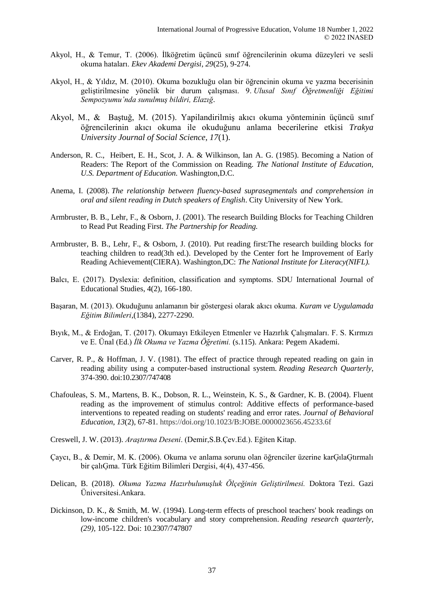- Akyol, H., & Temur, T. (2006). İlköğretim üçüncü sınıf öğrencilerinin okuma düzeyleri ve sesli okuma hataları. *Ekev Akademi Dergisi*, *29*(25), 9-274.
- Akyol, H., & Yıldız, M. (2010). Okuma bozukluğu olan bir öğrencinin okuma ve yazma becerisinin geliştirilmesine yönelik bir durum çalışması. 9. *Ulusal Sınıf Öğretmenliği Eğitimi Sempozyumu'nda sunulmuş bildiri, Elazığ*.
- Akyol, M., & Baştuğ, M. (2015). Yapilandirilmiş akıcı okuma yönteminin üçüncü sınıf öğrencilerinin akıcı okuma ile okuduğunu anlama becerilerine etkisi *Trakya University Journal of Social Science*, *17*(1).
- Anderson, R. C., Heibert, E. H., Scot, J. A. & Wilkinson, Ian A. G. (1985). Becoming a Nation of Readers: The Report of the Commission on Reading. *The National Institute of Education, U.S. Department of Education.* Washington,D.C.
- Anema, I. (2008). *The relationship between fluency-based suprasegmentals and comprehension in oral and silent reading in Dutch speakers of English*. City University of New York.
- Armbruster, B. B., Lehr, F., & Osborn, J. (2001). The research Building Blocks for Teaching Children to Read Put Reading First. *The Partnership for Reading.*
- Armbruster, B. B., Lehr, F., & Osborn, J. (2010). Put reading first:The research building blocks for teaching children to read(3th ed.). Developed by the Center fort he Improvement of Early Reading Achievement(CIERA). Washington,DC: *The National Institute for Literacy(NIFL).*
- Balcı, E. (2017). Dyslexia: definition, classification and symptoms. SDU International Journal of Educational Studies, 4(2), 166-180.
- Başaran, M. (2013). Okuduğunu anlamanın bir göstergesi olarak akıcı okuma. *Kuram ve Uygulamada Eğitim Bilimleri*,(1384), 2277-2290.
- Bıyık, M., & Erdoğan, T. (2017). Okumayı Etkileyen Etmenler ve Hazırlık Çalışmaları. F. S. Kırmızı ve E. Ünal (Ed.) *İlk Okuma ve Yazma Öğretimi.* (s.115). Ankara: Pegem Akademi.
- Carver, R. P., & Hoffman, J. V. (1981). The effect of practice through repeated reading on gain in reading ability using a computer-based instructional system. *Reading Research Quarterly*, 374-390. doi:10.2307/747408
- Chafouleas, S. M., Martens, B. K., Dobson, R. L., Weinstein, K. S., & Gardner, K. B. (2004). Fluent reading as the improvement of stimulus control: Additive effects of performance-based interventions to repeated reading on students' reading and error rates. *Journal of Behavioral Education*, *13*(2), 67-81. https://doi.org/10.1023/B:JOBE.0000023656.45233.6f
- Creswell, J. W. (2013). *Araştırma Deseni*. (Demir,S.B.Çev.Ed.). Eğiten Kitap.
- Çaycı, B., & Demir, M. K. (2006). Okuma ve anlama sorunu olan öğrenciler üzerine karĢılaĢtırmalı bir çalıĢma. Türk Eğitim Bilimleri Dergisi, 4(4), 437-456.
- Delican, B. (2018). *Okuma Yazma Hazırbulunuşluk Ölçeğinin Geliştirilmesi.* Doktora Tezi. Gazi Üniversitesi.Ankara.
- Dickinson, D. K., & Smith, M. W. (1994). Long-term effects of preschool teachers' book readings on low-income children's vocabulary and story comprehension. *Reading research quarterly, (29),* 105-122. Doi: 10.2307/747807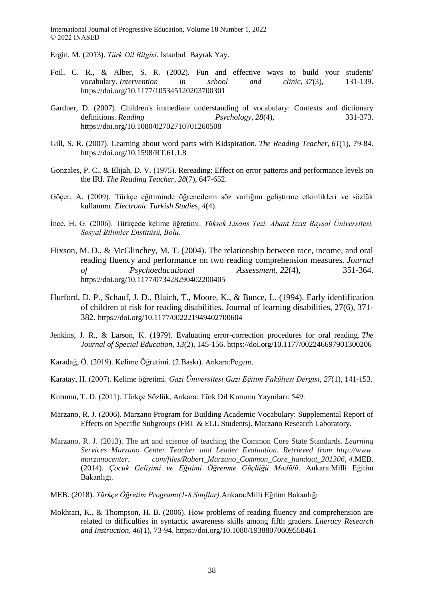Ergin, M. (2013). *Türk Dil Bilgisi*. İstanbul: Bayrak Yay.

- Foil, C. R., & Alber, S. R. (2002). Fun and effective ways to build your students' vocabulary. *Intervention in school and clinic*, *37*(3), 131-139. https://doi.org/10.1177/105345120203700301
- Gardner, D. (2007). Children's immediate understanding of vocabulary: Contexts and dictionary definitions. *Reading Psychology*, *28*(4), 331-373. https://doi.org/10.1080/02702710701260508
- Gill, S. R. (2007). Learning about word parts with Kidspiration. *The Reading Teacher*, *61*(1), 79-84. https://doi.org/10.1598/RT.61.1.8
- Gonzales, P. C., & Elijah, D. V. (1975). Rereading: Effect on error patterns and performance levels on the IRI. *The Reading Teacher*, *28*(7), 647-652.
- Göçer, A. (2009). Türkçe eğitiminde öğrencilerin söz varlığını geliştirme etkinlikleri ve sözlük kullanımı. *Electronic Turkish Studies*, *4*(4).
- İnce, H. G. (2006). Türkçede kelime öğretimi. *Yüksek Lisans Tezi. Abant İzzet Baysal Üniversitesi, Sosyal Bilimler Enstitüsü, Bolu*.
- Hixson, M. D., & McGlinchey, M. T. (2004). The relationship between race, income, and oral reading fluency and performance on two reading comprehension measures. *Journal of Psychoeducational Assessment*, *22*(4), 351-364. https://doi.org/10.1177/073428290402200405
- Hurford, D. P., Schauf, J. D., Blaich, T., Moore, K., & Bunce, L. (1994). Early identification of children at risk for reading disabilities. Journal of learning disabilities, 27(6), 371- 382. https://doi.org/10.1177/002221949402700604
- Jenkins, J. R., & Larson, K. (1979). Evaluating error-correction procedures for oral reading. *The Journal of Special Education*, *13*(2), 145-156. https://doi.org/10.1177/002246697901300206
- Karadağ, Ö. (2019). Kelime Öğretimi. (2.Baskı). Ankara:Pegem.
- Karatay, H. (2007). Kelime öğretimi. *Gazi Üniversitesi Gazi Eğitim Fakültesi Dergisi*, *27*(1), 141-153.
- Kurumu, T. D. (2011). Türkçe Sözlük, Ankara: Türk Dil Kurumu Yayınları: 549.
- Marzano, R. J. (2006). Marzano Program for Building Academic Vocabulary: Supplemental Report of Effects on Specific Subgroups (FRL & ELL Students). Marzano Research Laboratory.
- Marzano, R. J. (2013). The art and science of teaching the Common Core State Standards. *Learning Services Marzano Center Teacher and Leader Evaluation. Retrieved from http://www. marzanocenter. com/files/Robert\_Marzano\_Common\_Core\_handout\_201306*, *4*.MEB. (2014). *Çocuk Gelişimi ve Eğitimi Öğrenme Güçlüğü Modülü*. Ankara:Milli Eğitim Bakanlığı.
- MEB. (2018). *Türkçe Öğretim Programı(1-8.Sınıflar).*Ankara:Milli Eğitim Bakanlığı
- Mokhtari, K., & Thompson, H. B. (2006). How problems of reading fluency and comprehension are related to difficulties in syntactic awareness skills among fifth graders. *Literacy Research and Instruction*, *46*(1), 73-94. https://doi.org/10.1080/19388070609558461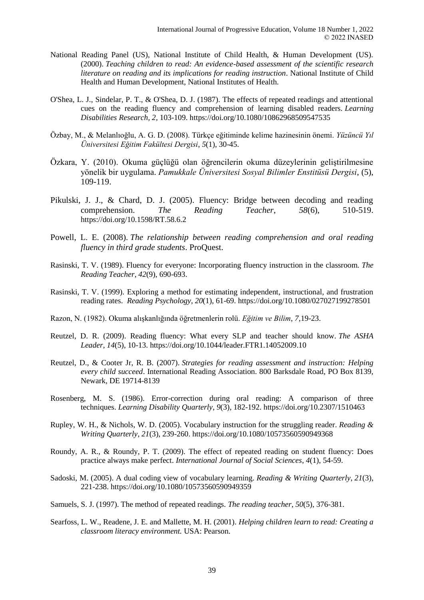- National Reading Panel (US), National Institute of Child Health, & Human Development (US). (2000). *Teaching children to read: An evidence-based assessment of the scientific research literature on reading and its implications for reading instruction*. National Institute of Child Health and Human Development, National Institutes of Health.
- O'Shea, L. J., Sindelar, P. T., & O'Shea, D. J. (1987). The effects of repeated readings and attentional cues on the reading fluency and comprehension of learning disabled readers. *Learning Disabilities Research, 2,* 103-109. https://doi.org/10.1080/10862968509547535
- Özbay, M., & Melanlıoğlu, A. G. D. (2008). Türkçe eğitiminde kelime hazinesinin önemi. *Yüzüncü Yıl Üniversitesi Eğitim Fakültesi Dergisi*, *5*(1), 30-45.
- Özkara, Y. (2010). Okuma güçlüğü olan öğrencilerin okuma düzeylerinin geliştirilmesine yönelik bir uygulama. *Pamukkale Üniversitesi Sosyal Bilimler Enstitüsü Dergisi*, (5), 109-119.
- Pikulski, J. J., & Chard, D. J. (2005). Fluency: Bridge between decoding and reading comprehension. *The Reading Teacher*, *58*(6), 510-519. https://doi.org/10.1598/RT.58.6.2
- Powell, L. E. (2008). *The relationship between reading comprehension and oral reading fluency in third grade students*. ProQuest.
- Rasinski, T. V. (1989). Fluency for everyone: Incorporating fluency instruction in the classroom. *The Reading Teacher*, *42*(9), 690-693.
- Rasinski, T. V. (1999). Exploring a method for estimating independent, instructional, and frustration reading rates. *Reading Psychology*, *20*(1), 61-69. https://doi.org/10.1080/027027199278501
- Razon, N. (1982). Okuma alışkanlığında öğretmenlerin rolü. *Eğitim ve Bilim*, *7,*19-23.
- Reutzel, D. R. (2009). Reading fluency: What every SLP and teacher should know. *The ASHA Leader*, *14*(5), 10-13. https://doi.org/10.1044/leader.FTR1.14052009.10
- Reutzel, D., & Cooter Jr, R. B. (2007). *Strategies for reading assessment and instruction: Helping every child succeed*. International Reading Association. 800 Barksdale Road, PO Box 8139, Newark, DE 19714-8139
- Rosenberg, M. S. (1986). Error-correction during oral reading: A comparison of three techniques. *Learning Disability Quarterly*, *9*(3), 182-192. https://doi.org/10.2307/1510463
- Rupley, W. H., & Nichols, W. D. (2005). Vocabulary instruction for the struggling reader. *Reading & Writing Quarterly*, *21*(3), 239-260. https://doi.org/10.1080/10573560590949368
- Roundy, A. R., & Roundy, P. T. (2009). The effect of repeated reading on student fluency: Does practice always make perfect. *International Journal of Social Sciences*, *4*(1), 54-59.
- Sadoski, M. (2005). A dual coding view of vocabulary learning. *Reading & Writing Quarterly*, *21*(3), 221-238. https://doi.org/10.1080/10573560590949359
- Samuels, S. J. (1997). The method of repeated readings. *The reading teacher*, *50*(5), 376-381.
- Searfoss, L. W., Readene, J. E. and Mallette, M. H. (2001). *Helping children learn to read: Creating a classroom literacy environment.* USA: Pearson.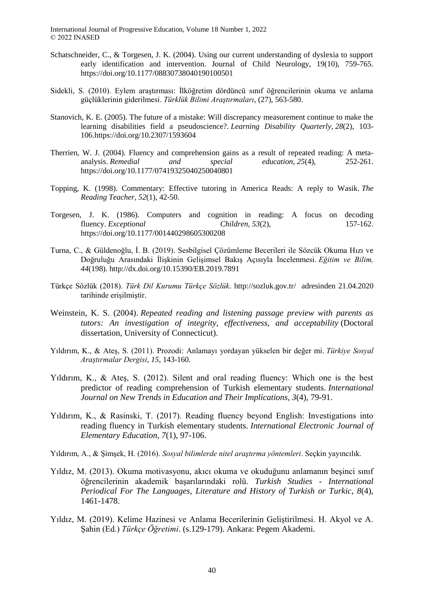- Schatschneider, C., & Torgesen, J. K. (2004). Using our current understanding of dyslexia to support early identification and intervention. Journal of Child Neurology, 19(10), 759-765. https://doi.org/10.1177/08830738040190100501
- Sidekli, S. (2010). Eylem araştırması: İlköğretim dördüncü sınıf öğrencilerinin okuma ve anlama güçlüklerinin giderilmesi. *Türklük Bilimi Araştırmaları*, (27), 563-580.
- Stanovich, K. E. (2005). The future of a mistake: Will discrepancy measurement continue to make the learning disabilities field a pseudoscience?. *Learning Disability Quarterly*, *28*(2), 103- 106.https://doi.org/10.2307/1593604
- Therrien, W. J. (2004). Fluency and comprehension gains as a result of repeated reading: A metaanalysis. *Remedial and special education*, *25*(4), 252-261. https://doi.org/10.1177/07419325040250040801
- Topping, K. (1998). Commentary: Effective tutoring in America Reads: A reply to Wasik. *The Reading Teacher*, *52*(1), 42-50.
- Torgesen, J. K. (1986). Computers and cognition in reading: A focus on decoding fluency. *Exceptional Children*, *53*(2), 157-162. https://doi.org/10.1177/001440298605300208
- Turna, C., & Güldenoğlu, İ. B. (2019). Sesbilgisel Çözümleme Becerileri ile Sözcük Okuma Hızı ve Doğruluğu Arasındaki İlişkinin Gelişimsel Bakış Açısıyla İncelenmesi. *Eğitim ve Bilim, 44*(198). http://dx.doi.org/10.15390/EB.2019.7891
- Türkçe Sözlük (2018). *Türk Dil Kurumu Türkçe Sözlük*. http://sozluk.gov.tr/ adresinden 21.04.2020 tarihinde erişilmiştir.
- Weinstein, K. S. (2004). *Repeated reading and listening passage preview with parents as tutors: An investigation of integrity, effectiveness, and acceptability* (Doctoral dissertation, University of Connecticut).
- Yıldırım, K., & Ateş, S. (2011). Prozodi: Anlamayı yordayan yükselen bir değer mi. *Türkiye Sosyal Araştırmalar Dergisi*, *15*, 143-160.
- Yıldırım, K., & Ateş, S. (2012). Silent and oral reading fluency: Which one is the best predictor of reading comprehension of Turkish elementary students. *International Journal on New Trends in Education and Their Implications*, *3*(4), 79-91.
- Yıldırım, K., & Rasinski, T. (2017). Reading fluency beyond English: Investigations into reading fluency in Turkish elementary students. *International Electronic Journal of Elementary Education*, *7*(1), 97-106.
- Yıldırım, A., & Şimşek, H. (2016). *Sosyal bilimlerde nitel araştırma yöntemleri*. Seçkin yayıncılık.
- Yıldız, M. (2013). Okuma motivasyonu, akıcı okuma ve okuduğunu anlamanın beşinci sınıf öğrencilerinin akademik başarılarındaki rolü. *Turkish Studies - International Periodical For The Languages, Literature and History of Turkish or Turkic*, *8*(4), 1461-1478.
- Yıldız, M. (2019). Kelime Hazinesi ve Anlama Becerilerinin Geliştirilmesi. H. Akyol ve A. Şahin (Ed.) *Türkçe Öğretimi*. (s.129-179). Ankara: Pegem Akademi.